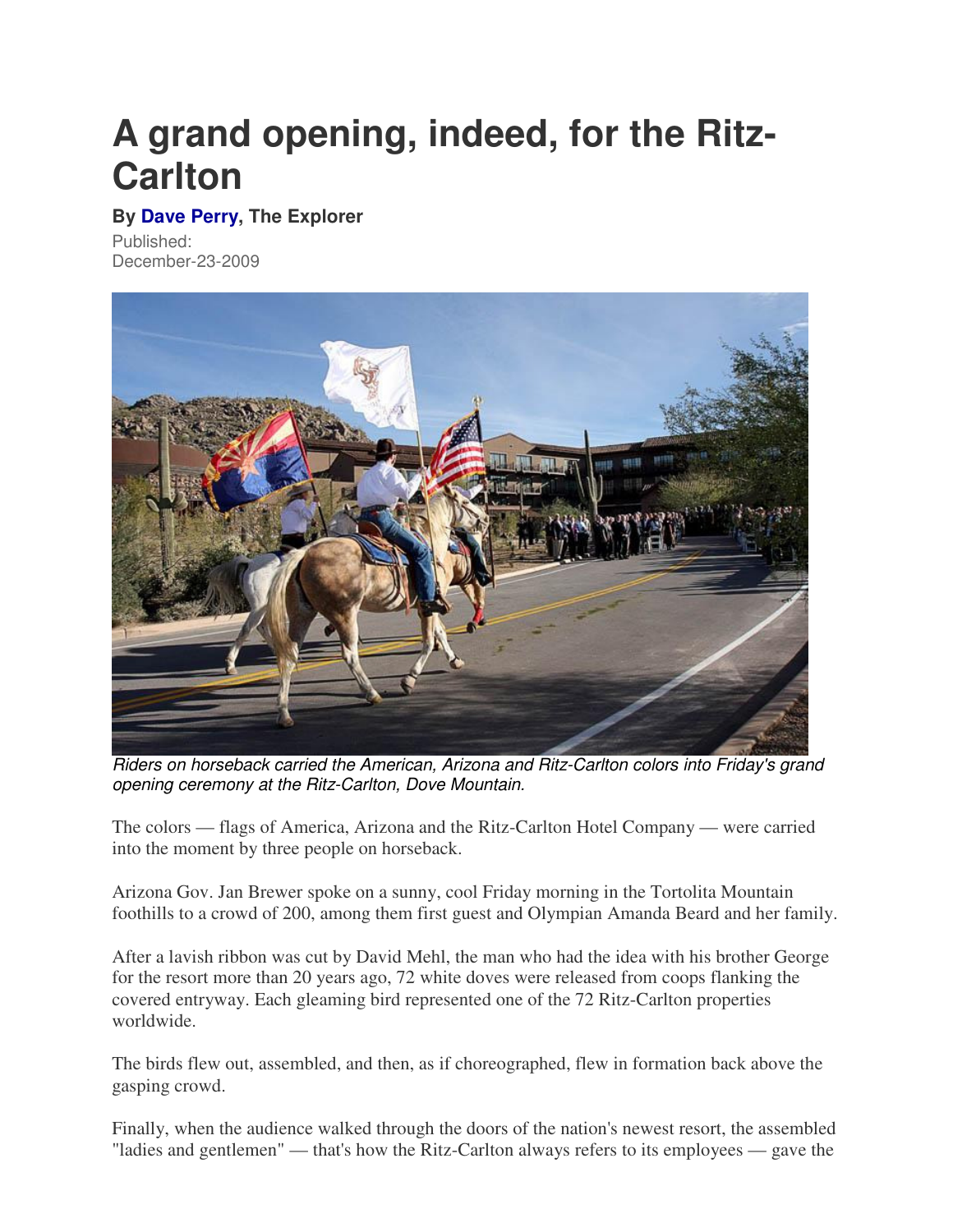## **A grand opening, indeed, for the Ritz-Carlton**

## **By Dave Perry, The Explorer**

Published: December-23-2009



Riders on horseback carried the American, Arizona and Ritz-Carlton colors into Friday's grand opening ceremony at the Ritz-Carlton, Dove Mountain.

The colors — flags of America, Arizona and the Ritz-Carlton Hotel Company — were carried into the moment by three people on horseback.

Arizona Gov. Jan Brewer spoke on a sunny, cool Friday morning in the Tortolita Mountain foothills to a crowd of 200, among them first guest and Olympian Amanda Beard and her family.

After a lavish ribbon was cut by David Mehl, the man who had the idea with his brother George for the resort more than 20 years ago, 72 white doves were released from coops flanking the covered entryway. Each gleaming bird represented one of the 72 Ritz-Carlton properties worldwide.

The birds flew out, assembled, and then, as if choreographed, flew in formation back above the gasping crowd.

Finally, when the audience walked through the doors of the nation's newest resort, the assembled "ladies and gentlemen" — that's how the Ritz-Carlton always refers to its employees — gave the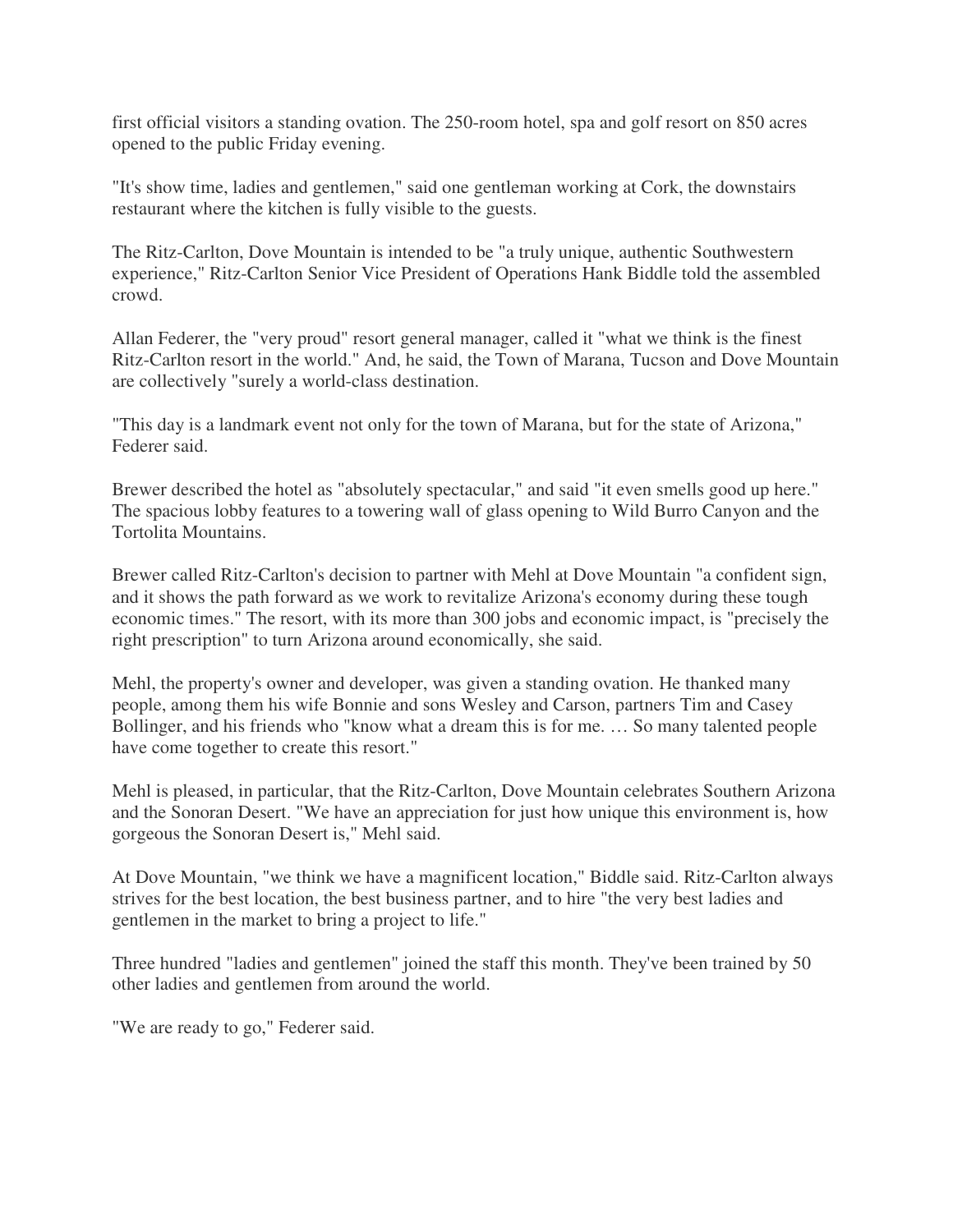first official visitors a standing ovation. The 250-room hotel, spa and golf resort on 850 acres opened to the public Friday evening.

"It's show time, ladies and gentlemen," said one gentleman working at Cork, the downstairs restaurant where the kitchen is fully visible to the guests.

The Ritz-Carlton, Dove Mountain is intended to be "a truly unique, authentic Southwestern experience," Ritz-Carlton Senior Vice President of Operations Hank Biddle told the assembled crowd.

Allan Federer, the "very proud" resort general manager, called it "what we think is the finest Ritz-Carlton resort in the world." And, he said, the Town of Marana, Tucson and Dove Mountain are collectively "surely a world-class destination.

"This day is a landmark event not only for the town of Marana, but for the state of Arizona," Federer said.

Brewer described the hotel as "absolutely spectacular," and said "it even smells good up here." The spacious lobby features to a towering wall of glass opening to Wild Burro Canyon and the Tortolita Mountains.

Brewer called Ritz-Carlton's decision to partner with Mehl at Dove Mountain "a confident sign, and it shows the path forward as we work to revitalize Arizona's economy during these tough economic times." The resort, with its more than 300 jobs and economic impact, is "precisely the right prescription" to turn Arizona around economically, she said.

Mehl, the property's owner and developer, was given a standing ovation. He thanked many people, among them his wife Bonnie and sons Wesley and Carson, partners Tim and Casey Bollinger, and his friends who "know what a dream this is for me. … So many talented people have come together to create this resort."

Mehl is pleased, in particular, that the Ritz-Carlton, Dove Mountain celebrates Southern Arizona and the Sonoran Desert. "We have an appreciation for just how unique this environment is, how gorgeous the Sonoran Desert is," Mehl said.

At Dove Mountain, "we think we have a magnificent location," Biddle said. Ritz-Carlton always strives for the best location, the best business partner, and to hire "the very best ladies and gentlemen in the market to bring a project to life."

Three hundred "ladies and gentlemen" joined the staff this month. They've been trained by 50 other ladies and gentlemen from around the world.

"We are ready to go," Federer said.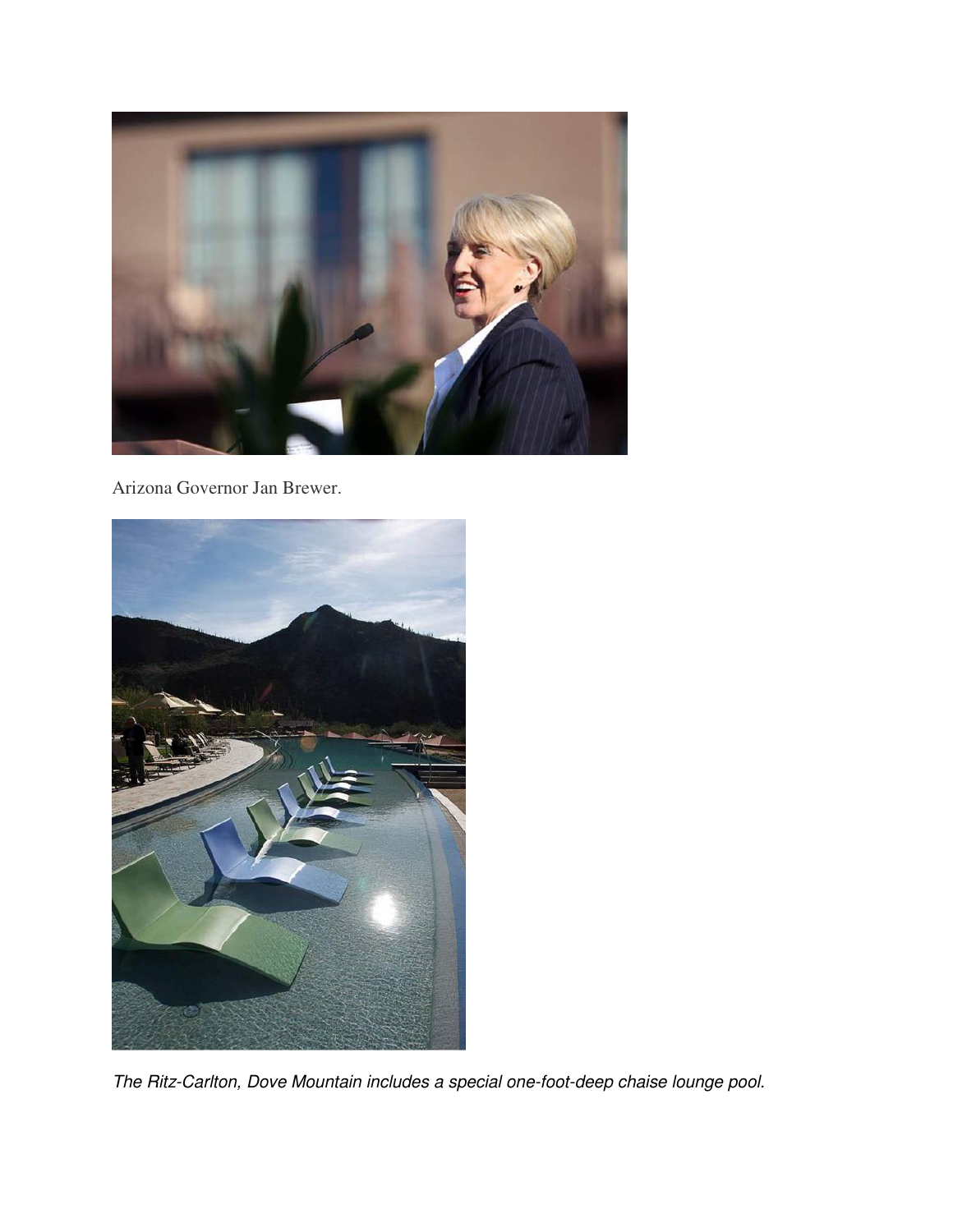

Arizona Governor Jan Brewer.



The Ritz-Carlton, Dove Mountain includes a special one-foot-deep chaise lounge pool.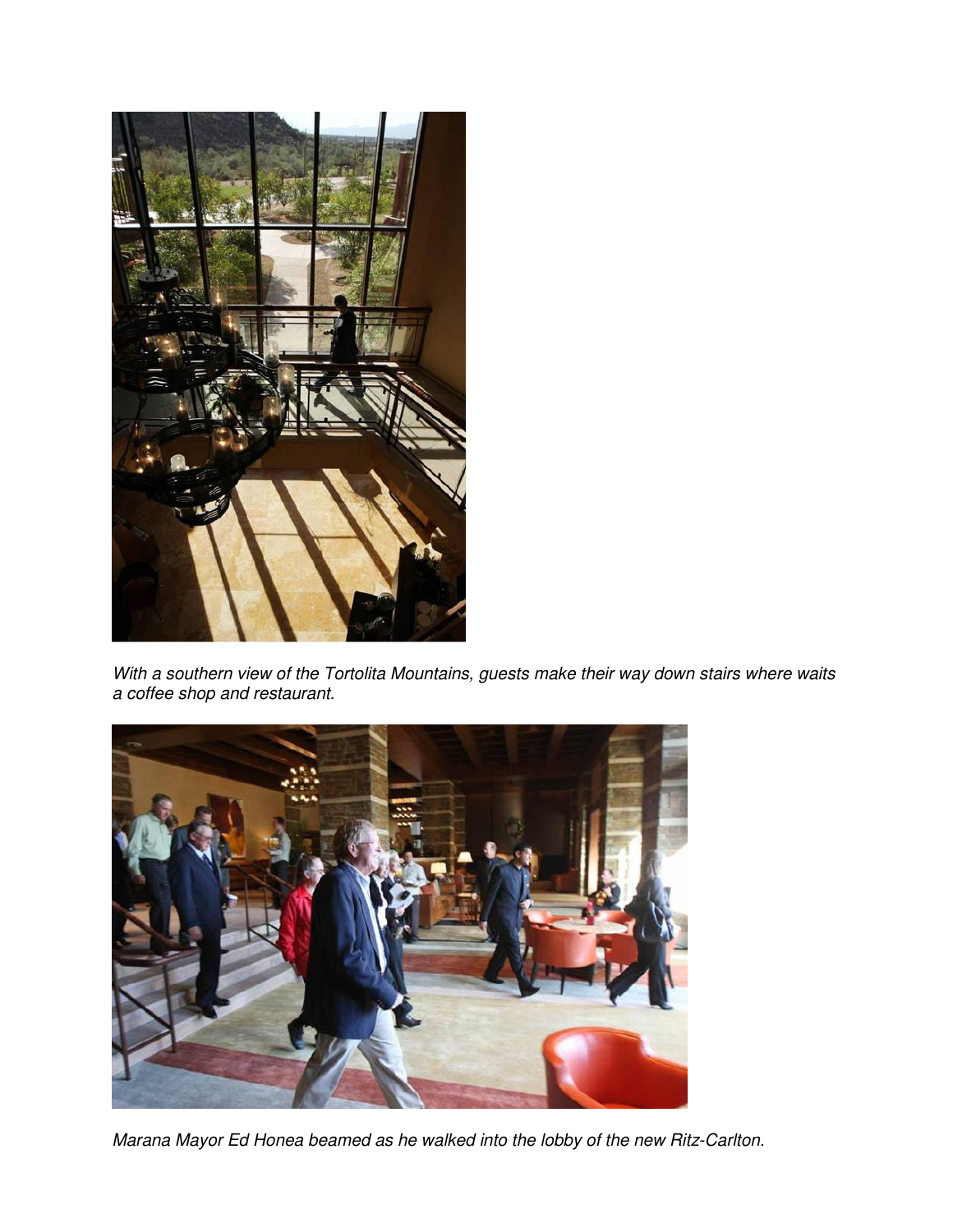

With a southern view of the Tortolita Mountains, guests make their way down stairs where waits a coffee shop and restaurant.



Marana Mayor Ed Honea beamed as he walked into the lobby of the new Ritz-Carlton.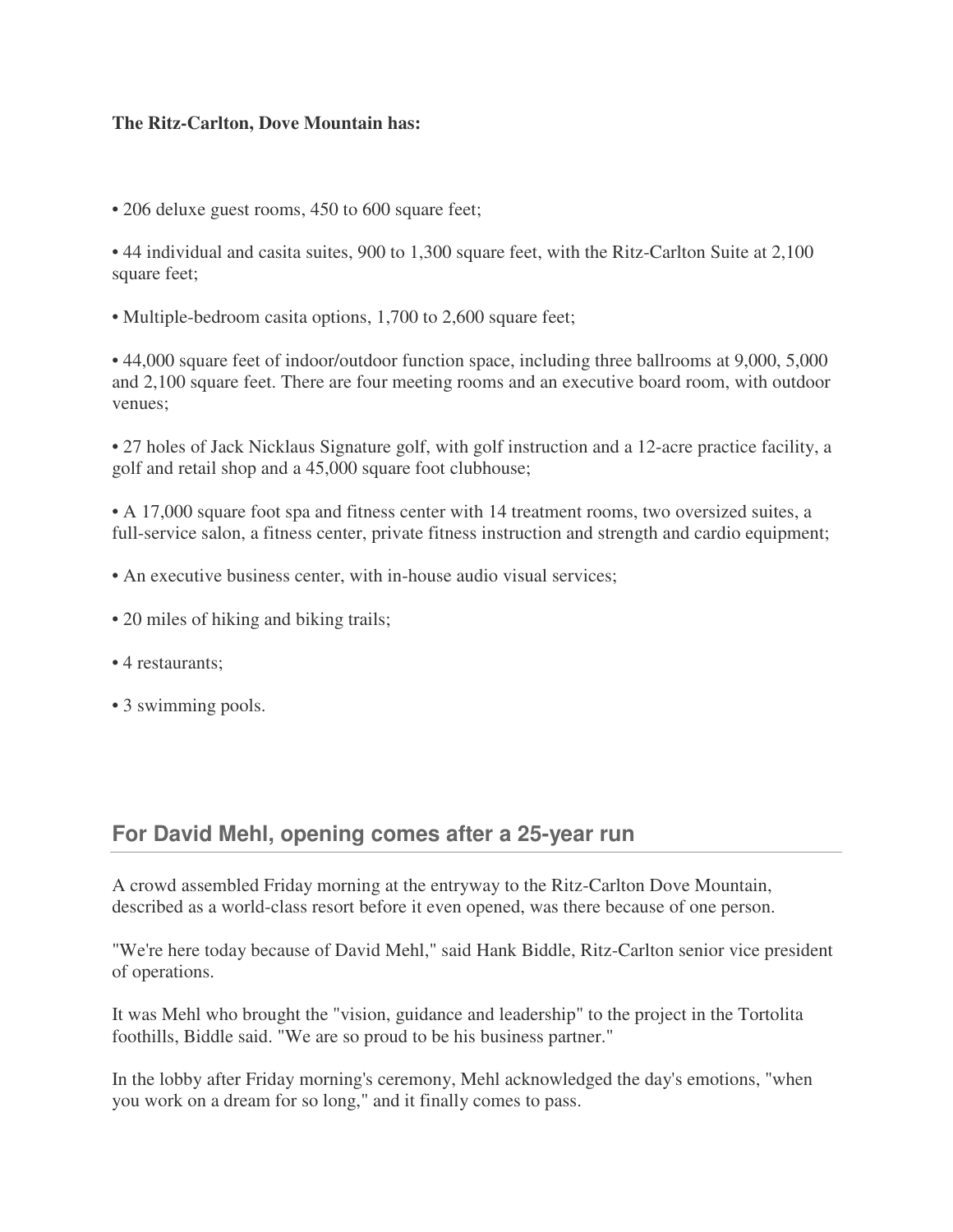## **The Ritz-Carlton, Dove Mountain has:**

• 206 deluxe guest rooms, 450 to 600 square feet;

• 44 individual and casita suites, 900 to 1,300 square feet, with the Ritz-Carlton Suite at 2,100 square feet;

• Multiple-bedroom casita options, 1,700 to 2,600 square feet;

• 44,000 square feet of indoor/outdoor function space, including three ballrooms at 9,000, 5,000 and 2,100 square feet. There are four meeting rooms and an executive board room, with outdoor venues;

• 27 holes of Jack Nicklaus Signature golf, with golf instruction and a 12-acre practice facility, a golf and retail shop and a 45,000 square foot clubhouse;

• A 17,000 square foot spa and fitness center with 14 treatment rooms, two oversized suites, a full-service salon, a fitness center, private fitness instruction and strength and cardio equipment;

- An executive business center, with in-house audio visual services;
- 20 miles of hiking and biking trails;
- 4 restaurants;
- 3 swimming pools.

## **For David Mehl, opening comes after a 25-year run**

A crowd assembled Friday morning at the entryway to the Ritz-Carlton Dove Mountain, described as a world-class resort before it even opened, was there because of one person.

"We're here today because of David Mehl," said Hank Biddle, Ritz-Carlton senior vice president of operations.

It was Mehl who brought the "vision, guidance and leadership" to the project in the Tortolita foothills, Biddle said. "We are so proud to be his business partner."

In the lobby after Friday morning's ceremony, Mehl acknowledged the day's emotions, "when you work on a dream for so long," and it finally comes to pass.